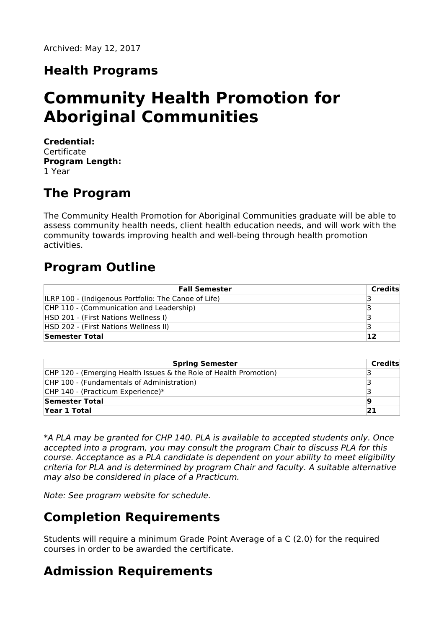### **Health Programs**

# **Community Health Promotion for Aboriginal Communities**

**Credential: Certificate Program Length:** 1 Year

### **The Program**

The Community Health Promotion for Aboriginal Communities graduate will be able to assess community health needs, client health education needs, and will work with the community towards improving health and well-being through health promotion activities.

### **Program Outline**

| <b>Fall Semester</b>                                        | Credits |
|-------------------------------------------------------------|---------|
| <b>ILRP 100 - (Indigenous Portfolio: The Canoe of Life)</b> |         |
| CHP 110 - (Communication and Leadership)                    |         |
| HSD 201 - (First Nations Wellness I)                        |         |
| HSD 202 - (First Nations Wellness II)                       |         |
| Semester Total                                              | 12      |

| <b>Spring Semester</b>                                            | Credits |
|-------------------------------------------------------------------|---------|
| CHP 120 - (Emerging Health Issues & the Role of Health Promotion) |         |
| CHP 100 - (Fundamentals of Administration)                        |         |
| CHP 140 - (Practicum Experience)*                                 |         |
| Semester Total                                                    | 19      |
| Year 1 Total                                                      | 21      |

\*A PLA may be granted for CHP 140. PLA is available to accepted students only. Once accepted into a program, you may consult the program Chair to discuss PLA for this course. Acceptance as a PLA candidate is dependent on your ability to meet eligibility criteria for PLA and is determined by program Chair and faculty. A suitable alternative may also be considered in place of a Practicum.

Note: See program website for schedule.

### **Completion Requirements**

Students will require a minimum Grade Point Average of a C (2.0) for the required courses in order to be awarded the certificate.

## **Admission Requirements**